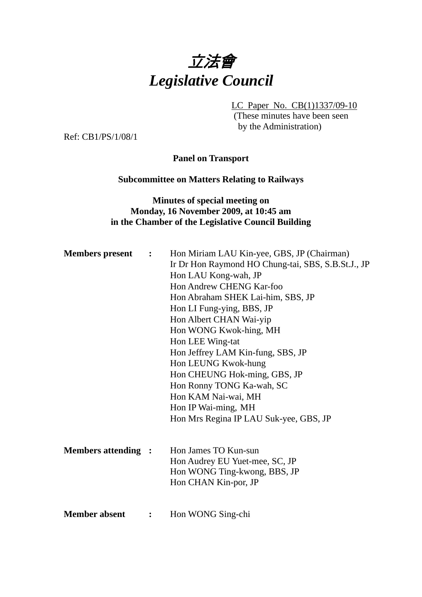

LC Paper No. CB(1)1337/09-10

(These minutes have been seen by the Administration)

Ref: CB1/PS/1/08/1

**Panel on Transport** 

#### **Subcommittee on Matters Relating to Railways**

#### **Minutes of special meeting on Monday, 16 November 2009, at 10:45 am in the Chamber of the Legislative Council Building**

| <b>Members present :</b>   |                | Hon Miriam LAU Kin-yee, GBS, JP (Chairman)<br>Ir Dr Hon Raymond HO Chung-tai, SBS, S.B.St.J., JP<br>Hon LAU Kong-wah, JP<br>Hon Andrew CHENG Kar-foo<br>Hon Abraham SHEK Lai-him, SBS, JP<br>Hon LI Fung-ying, BBS, JP<br>Hon Albert CHAN Wai-yip<br>Hon WONG Kwok-hing, MH |
|----------------------------|----------------|-----------------------------------------------------------------------------------------------------------------------------------------------------------------------------------------------------------------------------------------------------------------------------|
|                            |                | Hon LEE Wing-tat<br>Hon Jeffrey LAM Kin-fung, SBS, JP<br>Hon LEUNG Kwok-hung<br>Hon CHEUNG Hok-ming, GBS, JP<br>Hon Ronny TONG Ka-wah, SC<br>Hon KAM Nai-wai, MH<br>Hon IP Wai-ming, MH<br>Hon Mrs Regina IP LAU Suk-yee, GBS, JP                                           |
| <b>Members attending :</b> |                | Hon James TO Kun-sun<br>Hon Audrey EU Yuet-mee, SC, JP<br>Hon WONG Ting-kwong, BBS, JP<br>Hon CHAN Kin-por, JP                                                                                                                                                              |
| <b>Member absent</b>       | $\ddot{\cdot}$ | Hon WONG Sing-chi                                                                                                                                                                                                                                                           |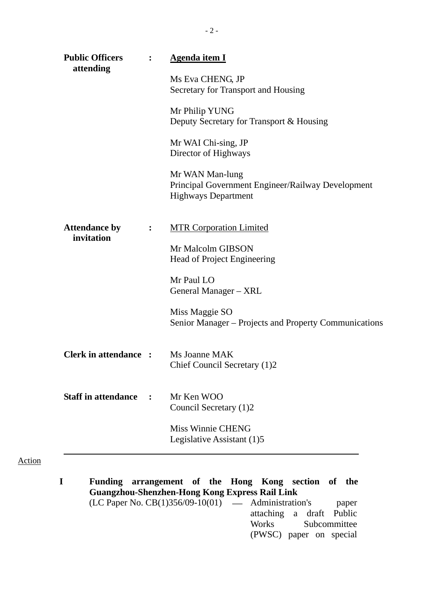| attending                          |                | <b>Agenda item I</b>                                                                               |
|------------------------------------|----------------|----------------------------------------------------------------------------------------------------|
|                                    |                | Ms Eva CHENG, JP<br>Secretary for Transport and Housing                                            |
|                                    |                | Mr Philip YUNG<br>Deputy Secretary for Transport & Housing                                         |
|                                    |                | Mr WAI Chi-sing, JP<br>Director of Highways                                                        |
|                                    |                | Mr WAN Man-lung<br>Principal Government Engineer/Railway Development<br><b>Highways Department</b> |
| <b>Attendance by</b><br>invitation | $\ddot{\cdot}$ | <b>MTR Corporation Limited</b>                                                                     |
|                                    |                | Mr Malcolm GIBSON<br>Head of Project Engineering                                                   |
|                                    |                | Mr Paul LO<br>General Manager – XRL                                                                |
|                                    |                | Miss Maggie SO<br>Senior Manager – Projects and Property Communications                            |
| <b>Clerk in attendance:</b>        |                | Ms Joanne MAK<br>Chief Council Secretary (1)2                                                      |
| <b>Staff in attendance :</b>       |                | Mr Ken WOO<br>Council Secretary (1)2                                                               |
|                                    |                | Miss Winnie CHENG<br>Legislative Assistant (1)5                                                    |

 $(LC$  Paper No.  $CB(1)356/09-10(01)$   $-$  Administration's paper attaching a draft Public<br>Works Subcommittee Subcommittee (PWSC) paper on special

Action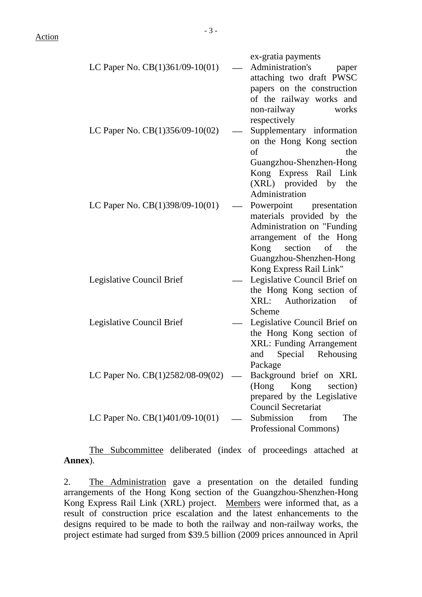Action

|                                   | ex-gratia payments              |
|-----------------------------------|---------------------------------|
| LC Paper No. $CB(1)361/09-10(01)$ | Administration's<br>paper       |
|                                   | attaching two draft PWSC        |
|                                   | papers on the construction      |
|                                   | of the railway works and        |
|                                   | non-railway<br>works            |
|                                   | respectively                    |
| LC Paper No. CB(1)356/09-10(02)   | Supplementary information       |
|                                   | on the Hong Kong section        |
|                                   | of<br>the                       |
|                                   | Guangzhou-Shenzhen-Hong         |
|                                   | Kong Express Rail Link          |
|                                   | (XRL) provided by the           |
|                                   | Administration                  |
| LC Paper No. CB(1)398/09-10(01)   | Powerpoint presentation         |
|                                   | materials provided by the       |
|                                   | Administration on "Funding      |
|                                   | arrangement of the Hong         |
|                                   | section<br>Kong<br>of<br>the    |
|                                   | Guangzhou-Shenzhen-Hong         |
|                                   | Kong Express Rail Link"         |
| Legislative Council Brief         | Legislative Council Brief on    |
|                                   | the Hong Kong section of        |
|                                   | XRL: Authorization<br>of        |
|                                   | Scheme                          |
| Legislative Council Brief         | Legislative Council Brief on    |
|                                   | the Hong Kong section of        |
|                                   | <b>XRL: Funding Arrangement</b> |
|                                   | Rehousing<br>Special<br>and     |
|                                   | Package                         |
| LC Paper No. CB(1)2582/08-09(02)  | Background brief on XRL         |
|                                   | (Hong<br>Kong<br>section)       |
|                                   | prepared by the Legislative     |
|                                   | <b>Council Secretariat</b>      |
| LC Paper No. $CB(1)401/09-10(01)$ | Submission<br>from<br>The       |
|                                   |                                 |
|                                   | Professional Commons)           |

The Subcommittee deliberated (index of proceedings attached at **Annex**).

2. The Administration gave a presentation on the detailed funding arrangements of the Hong Kong section of the Guangzhou-Shenzhen-Hong Kong Express Rail Link (XRL) project. Members were informed that, as a result of construction price escalation and the latest enhancements to the designs required to be made to both the railway and non-railway works, the project estimate had surged from \$39.5 billion (2009 prices announced in April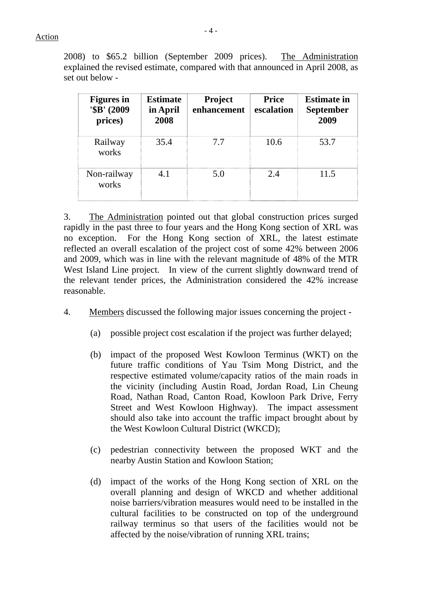2008) to \$65.2 billion (September 2009 prices). The Administration explained the revised estimate, compared with that announced in April 2008, as set out below -

| <b>Figures</b> in<br>'\$B' (2009)<br>prices) | <b>Estimate</b><br>in April<br>2008 | <b>Project</b><br>enhancement | <b>Price</b><br>escalation | <b>Estimate in</b><br><b>September</b><br>2009 |
|----------------------------------------------|-------------------------------------|-------------------------------|----------------------------|------------------------------------------------|
| Railway<br>works                             | 35.4                                | 77                            | 10.6                       | 53.7                                           |
| Non-railway<br>works                         | 4.1                                 | 5.0                           | 2.4                        | 11.5                                           |

3. The Administration pointed out that global construction prices surged rapidly in the past three to four years and the Hong Kong section of XRL was no exception. For the Hong Kong section of XRL, the latest estimate reflected an overall escalation of the project cost of some 42% between 2006 and 2009, which was in line with the relevant magnitude of 48% of the MTR West Island Line project. In view of the current slightly downward trend of the relevant tender prices, the Administration considered the 42% increase reasonable.

- 4. Members discussed the following major issues concerning the project
	- (a) possible project cost escalation if the project was further delayed;
	- (b) impact of the proposed West Kowloon Terminus (WKT) on the future traffic conditions of Yau Tsim Mong District, and the respective estimated volume/capacity ratios of the main roads in the vicinity (including Austin Road, Jordan Road, Lin Cheung Road, Nathan Road, Canton Road, Kowloon Park Drive, Ferry Street and West Kowloon Highway). The impact assessment should also take into account the traffic impact brought about by the West Kowloon Cultural District (WKCD);
	- (c) pedestrian connectivity between the proposed WKT and the nearby Austin Station and Kowloon Station;
	- (d) impact of the works of the Hong Kong section of XRL on the overall planning and design of WKCD and whether additional noise barriers/vibration measures would need to be installed in the cultural facilities to be constructed on top of the underground railway terminus so that users of the facilities would not be affected by the noise/vibration of running XRL trains;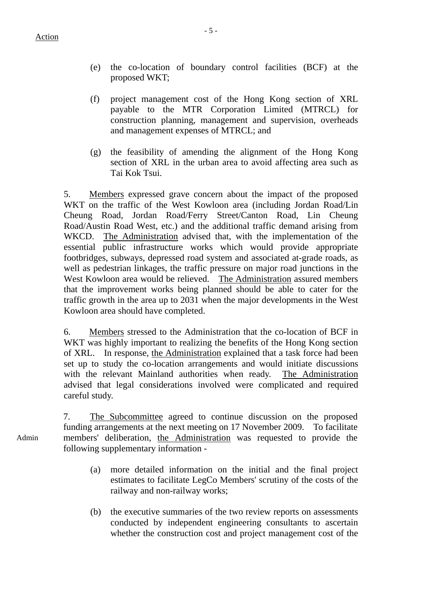- (e) the co-location of boundary control facilities (BCF) at the proposed WKT;
- (f) project management cost of the Hong Kong section of XRL payable to the MTR Corporation Limited (MTRCL) for construction planning, management and supervision, overheads and management expenses of MTRCL; and
- (g) the feasibility of amending the alignment of the Hong Kong section of XRL in the urban area to avoid affecting area such as Tai Kok Tsui.

5. Members expressed grave concern about the impact of the proposed WKT on the traffic of the West Kowloon area (including Jordan Road/Lin Cheung Road, Jordan Road/Ferry Street/Canton Road, Lin Cheung Road/Austin Road West, etc.) and the additional traffic demand arising from WKCD. The Administration advised that, with the implementation of the essential public infrastructure works which would provide appropriate footbridges, subways, depressed road system and associated at-grade roads, as well as pedestrian linkages, the traffic pressure on major road junctions in the West Kowloon area would be relieved. The Administration assured members that the improvement works being planned should be able to cater for the traffic growth in the area up to 2031 when the major developments in the West Kowloon area should have completed.

6. Members stressed to the Administration that the co-location of BCF in WKT was highly important to realizing the benefits of the Hong Kong section of XRL. In response, the Administration explained that a task force had been set up to study the co-location arrangements and would initiate discussions with the relevant Mainland authorities when ready. The Administration advised that legal considerations involved were complicated and required careful study.

7. The Subcommittee agreed to continue discussion on the proposed funding arrangements at the next meeting on 17 November 2009. To facilitate members' deliberation, the Administration was requested to provide the following supplementary information -

- (a) more detailed information on the initial and the final project estimates to facilitate LegCo Members' scrutiny of the costs of the railway and non-railway works;
- (b) the executive summaries of the two review reports on assessments conducted by independent engineering consultants to ascertain whether the construction cost and project management cost of the

Admin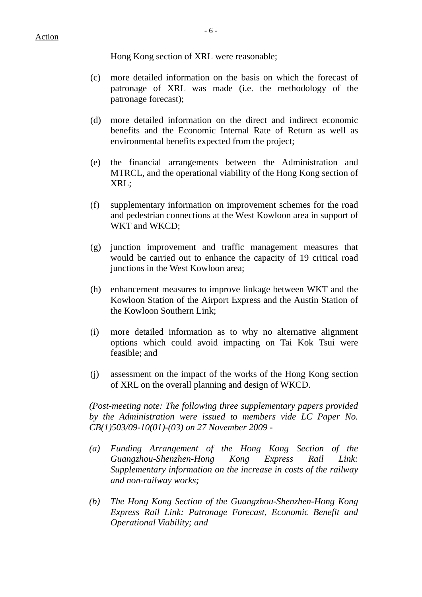Hong Kong section of XRL were reasonable;

- (c) more detailed information on the basis on which the forecast of patronage of XRL was made (i.e. the methodology of the patronage forecast);
- (d) more detailed information on the direct and indirect economic benefits and the Economic Internal Rate of Return as well as environmental benefits expected from the project;
- (e) the financial arrangements between the Administration and MTRCL, and the operational viability of the Hong Kong section of XRL;
- (f) supplementary information on improvement schemes for the road and pedestrian connections at the West Kowloon area in support of WKT and WKCD;
- (g) junction improvement and traffic management measures that would be carried out to enhance the capacity of 19 critical road junctions in the West Kowloon area;
- (h) enhancement measures to improve linkage between WKT and the Kowloon Station of the Airport Express and the Austin Station of the Kowloon Southern Link;
- (i) more detailed information as to why no alternative alignment options which could avoid impacting on Tai Kok Tsui were feasible; and
- (j) assessment on the impact of the works of the Hong Kong section of XRL on the overall planning and design of WKCD.

*(Post-meeting note: The following three supplementary papers provided by the Administration were issued to members vide LC Paper No. CB(1)503/09-10(01)-(03) on 27 November 2009 -* 

- *(a) Funding Arrangement of the Hong Kong Section of the Guangzhou-Shenzhen-Hong Kong Express Rail Link: Supplementary information on the increase in costs of the railway and non-railway works;*
- *(b) The Hong Kong Section of the Guangzhou-Shenzhen-Hong Kong Express Rail Link: Patronage Forecast, Economic Benefit and Operational Viability; and*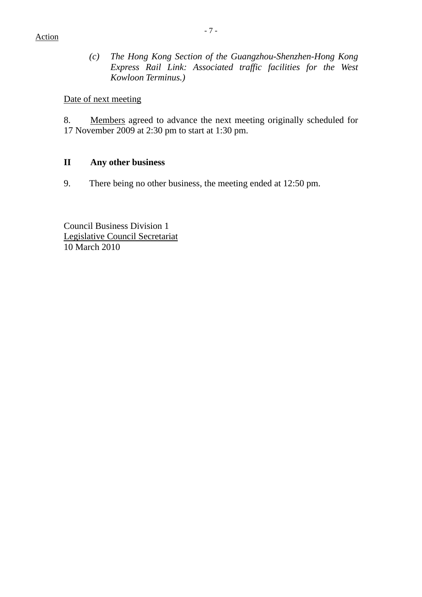*(c) The Hong Kong Section of the Guangzhou-Shenzhen-Hong Kong Express Rail Link: Associated traffic facilities for the West Kowloon Terminus.)* 

Date of next meeting

8. Members agreed to advance the next meeting originally scheduled for 17 November 2009 at 2:30 pm to start at 1:30 pm.

#### **II Any other business**

9. There being no other business, the meeting ended at 12:50 pm.

Council Business Division 1 Legislative Council Secretariat 10 March 2010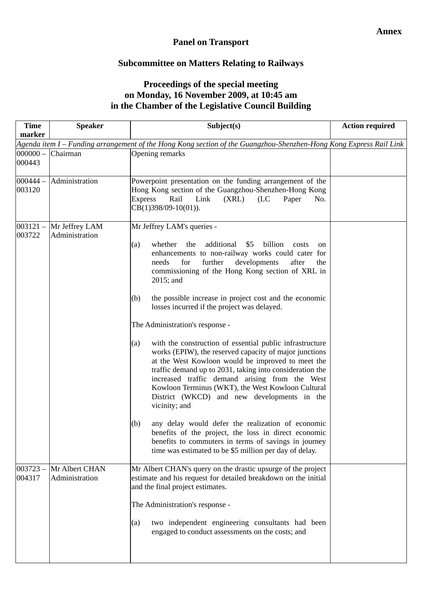### **Panel on Transport**

# **Subcommittee on Matters Relating to Railways**

## **Proceedings of the special meeting on Monday, 16 November 2009, at 10:45 am in the Chamber of the Legislative Council Building**

| <b>Time</b><br>marker                                                                                              | <b>Speaker</b>                   | Subject(s)                                                                                                                                                                                                                                                                                                                                                                                                                                                                                                                                                                                                                                                                                                                                                                                                                                                                                                                                                                                                                                                                                           | <b>Action required</b> |  |
|--------------------------------------------------------------------------------------------------------------------|----------------------------------|------------------------------------------------------------------------------------------------------------------------------------------------------------------------------------------------------------------------------------------------------------------------------------------------------------------------------------------------------------------------------------------------------------------------------------------------------------------------------------------------------------------------------------------------------------------------------------------------------------------------------------------------------------------------------------------------------------------------------------------------------------------------------------------------------------------------------------------------------------------------------------------------------------------------------------------------------------------------------------------------------------------------------------------------------------------------------------------------------|------------------------|--|
| Agenda item I – Funding arrangement of the Hong Kong section of the Guangzhou-Shenzhen-Hong Kong Express Rail Link |                                  |                                                                                                                                                                                                                                                                                                                                                                                                                                                                                                                                                                                                                                                                                                                                                                                                                                                                                                                                                                                                                                                                                                      |                        |  |
| $000000 -$<br>000443                                                                                               | Chairman                         | Opening remarks                                                                                                                                                                                                                                                                                                                                                                                                                                                                                                                                                                                                                                                                                                                                                                                                                                                                                                                                                                                                                                                                                      |                        |  |
| $000444 -$<br>003120                                                                                               | Administration                   | Powerpoint presentation on the funding arrangement of the<br>Hong Kong section of the Guangzhou-Shenzhen-Hong Kong<br><b>Express</b><br>Rail<br>Link<br>(XRL)<br>(LC)<br>Paper<br>No.<br>$CB(1)398/09-10(01)).$                                                                                                                                                                                                                                                                                                                                                                                                                                                                                                                                                                                                                                                                                                                                                                                                                                                                                      |                        |  |
| $003121 -$<br>003722                                                                                               | Mr Jeffrey LAM<br>Administration | Mr Jeffrey LAM's queries -<br>whether<br>additional<br>\$5<br>billion<br>(a)<br>the<br>costs<br>on<br>enhancements to non-railway works could cater for<br>further<br>developments<br>needs<br>for<br>after<br>the<br>commissioning of the Hong Kong section of XRL in<br>$2015$ ; and<br>the possible increase in project cost and the economic<br>(b)<br>losses incurred if the project was delayed.<br>The Administration's response -<br>with the construction of essential public infrastructure<br>(a)<br>works (EPIW), the reserved capacity of major junctions<br>at the West Kowloon would be improved to meet the<br>traffic demand up to 2031, taking into consideration the<br>increased traffic demand arising from the West<br>Kowloon Terminus (WKT), the West Kowloon Cultural<br>District (WKCD) and new developments in the<br>vicinity; and<br>any delay would defer the realization of economic<br>(b)<br>benefits of the project, the loss in direct economic<br>benefits to commuters in terms of savings in journey<br>time was estimated to be \$5 million per day of delay. |                        |  |
| $003723 -$<br>004317                                                                                               | Mr Albert CHAN<br>Administration | Mr Albert CHAN's query on the drastic upsurge of the project<br>estimate and his request for detailed breakdown on the initial<br>and the final project estimates.<br>The Administration's response -<br>two independent engineering consultants had been<br>(a)<br>engaged to conduct assessments on the costs; and                                                                                                                                                                                                                                                                                                                                                                                                                                                                                                                                                                                                                                                                                                                                                                                 |                        |  |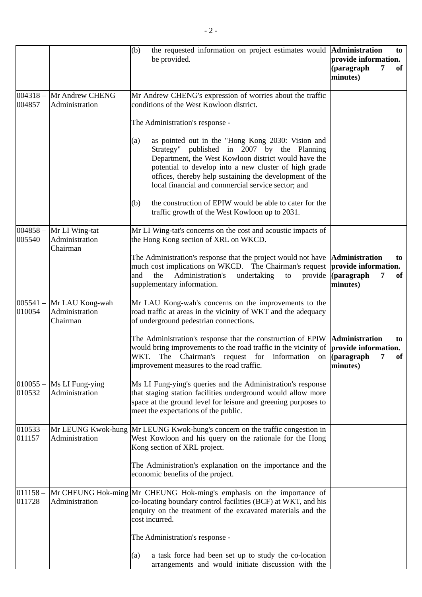|                      |                                               | (b)<br>the requested information on project estimates would <b>Administration</b><br>be provided.                                                                                                                                                                                                                                         | to<br>provide information.<br>(paragraph<br>of<br>7<br>minutes)                                   |
|----------------------|-----------------------------------------------|-------------------------------------------------------------------------------------------------------------------------------------------------------------------------------------------------------------------------------------------------------------------------------------------------------------------------------------------|---------------------------------------------------------------------------------------------------|
| $004318 -$<br>004857 | Mr Andrew CHENG<br>Administration             | Mr Andrew CHENG's expression of worries about the traffic<br>conditions of the West Kowloon district.                                                                                                                                                                                                                                     |                                                                                                   |
|                      |                                               | The Administration's response -                                                                                                                                                                                                                                                                                                           |                                                                                                   |
|                      |                                               | as pointed out in the "Hong Kong 2030: Vision and<br>(a)<br>Strategy" published in 2007 by the Planning<br>Department, the West Kowloon district would have the<br>potential to develop into a new cluster of high grade<br>offices, thereby help sustaining the development of the<br>local financial and commercial service sector; and |                                                                                                   |
|                      |                                               | the construction of EPIW would be able to cater for the<br>(b)<br>traffic growth of the West Kowloon up to 2031.                                                                                                                                                                                                                          |                                                                                                   |
| $004858 -$<br>005540 | Mr LI Wing-tat<br>Administration<br>Chairman  | Mr LI Wing-tat's concerns on the cost and acoustic impacts of<br>the Hong Kong section of XRL on WKCD.                                                                                                                                                                                                                                    |                                                                                                   |
|                      |                                               | The Administration's response that the project would not have<br>much cost implications on WKCD. The Chairman's request<br>Administration's<br>and<br>the<br>undertaking<br>to<br>provide<br>supplementary information.                                                                                                                   | <b>Administration</b><br>to<br>provide information.<br>$\alpha$ (paragraph<br>7<br>of<br>minutes) |
| $005541 -$<br>010054 | Mr LAU Kong-wah<br>Administration<br>Chairman | Mr LAU Kong-wah's concerns on the improvements to the<br>road traffic at areas in the vicinity of WKT and the adequacy<br>of underground pedestrian connections.                                                                                                                                                                          |                                                                                                   |
|                      |                                               | The Administration's response that the construction of EPIW <b>Administration</b><br>would bring improvements to the road traffic in the vicinity of <b>provide information.</b><br>WKT.<br>The Chairman's request for information on (paragraph<br>improvement measures to the road traffic.                                             | to<br>7<br>of<br>minutes)                                                                         |
| $010055 -$<br>010532 | Ms LI Fung-ying<br>Administration             | Ms LI Fung-ying's queries and the Administration's response<br>that staging station facilities underground would allow more<br>space at the ground level for leisure and greening purposes to<br>meet the expectations of the public.                                                                                                     |                                                                                                   |
| $010533 -$<br>011157 | Mr LEUNG Kwok-hung<br>Administration          | Mr LEUNG Kwok-hung's concern on the traffic congestion in<br>West Kowloon and his query on the rationale for the Hong<br>Kong section of XRL project.                                                                                                                                                                                     |                                                                                                   |
|                      |                                               | The Administration's explanation on the importance and the<br>economic benefits of the project.                                                                                                                                                                                                                                           |                                                                                                   |
| $011158 -$<br>011728 | Administration                                | Mr CHEUNG Hok-ming Mr CHEUNG Hok-ming's emphasis on the importance of<br>co-locating boundary control facilities (BCF) at WKT, and his<br>enquiry on the treatment of the excavated materials and the<br>cost incurred.                                                                                                                   |                                                                                                   |
|                      |                                               | The Administration's response -                                                                                                                                                                                                                                                                                                           |                                                                                                   |
|                      |                                               | a task force had been set up to study the co-location<br>(a)<br>arrangements and would initiate discussion with the                                                                                                                                                                                                                       |                                                                                                   |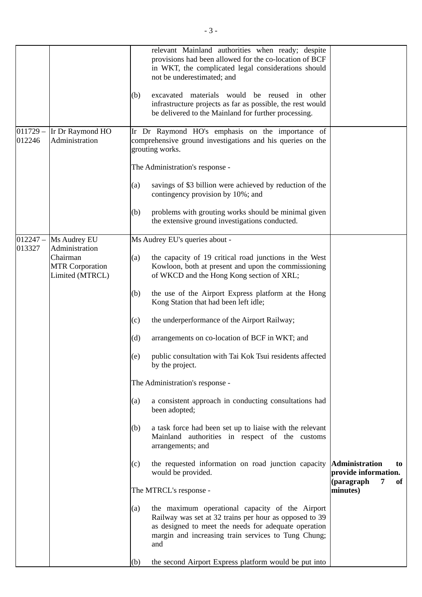|                      |                                                       | relevant Mainland authorities when ready; despite<br>provisions had been allowed for the co-location of BCF<br>in WKT, the complicated legal considerations should<br>not be underestimated; and                                       |                                                                              |
|----------------------|-------------------------------------------------------|----------------------------------------------------------------------------------------------------------------------------------------------------------------------------------------------------------------------------------------|------------------------------------------------------------------------------|
|                      |                                                       | excavated materials would be reused in other<br>(b)<br>infrastructure projects as far as possible, the rest would<br>be delivered to the Mainland for further processing.                                                              |                                                                              |
| $011729 -$<br>012246 | Ir Dr Raymond HO<br>Administration                    | Ir Dr Raymond HO's emphasis on the importance of<br>comprehensive ground investigations and his queries on the<br>grouting works.                                                                                                      |                                                                              |
|                      |                                                       | The Administration's response -                                                                                                                                                                                                        |                                                                              |
|                      |                                                       | savings of \$3 billion were achieved by reduction of the<br>(a)<br>contingency provision by 10%; and                                                                                                                                   |                                                                              |
|                      |                                                       | problems with grouting works should be minimal given<br>(b)<br>the extensive ground investigations conducted.                                                                                                                          |                                                                              |
| $012247 -$<br>013327 | Ms Audrey EU<br>Administration                        | Ms Audrey EU's queries about -                                                                                                                                                                                                         |                                                                              |
|                      | Chairman<br><b>MTR Corporation</b><br>Limited (MTRCL) | the capacity of 19 critical road junctions in the West<br>(a)<br>Kowloon, both at present and upon the commissioning<br>of WKCD and the Hong Kong section of XRL;                                                                      |                                                                              |
|                      |                                                       | the use of the Airport Express platform at the Hong<br>(b)<br>Kong Station that had been left idle;                                                                                                                                    |                                                                              |
|                      |                                                       | the underperformance of the Airport Railway;<br>(c)                                                                                                                                                                                    |                                                                              |
|                      |                                                       | (d)<br>arrangements on co-location of BCF in WKT; and                                                                                                                                                                                  |                                                                              |
|                      |                                                       | public consultation with Tai Kok Tsui residents affected<br>(e)<br>by the project.                                                                                                                                                     |                                                                              |
|                      |                                                       | The Administration's response -                                                                                                                                                                                                        |                                                                              |
|                      |                                                       | a consistent approach in conducting consultations had<br>(a)<br>been adopted;                                                                                                                                                          |                                                                              |
|                      |                                                       | a task force had been set up to liaise with the relevant<br>(b)<br>Mainland authorities in respect of the customs<br>arrangements; and                                                                                                 |                                                                              |
|                      |                                                       | the requested information on road junction capacity<br>(c)<br>would be provided.                                                                                                                                                       | <b>Administration</b><br>to<br>provide information.<br>(paragraph<br>7<br>of |
|                      |                                                       | The MTRCL's response -                                                                                                                                                                                                                 | minutes)                                                                     |
|                      |                                                       | the maximum operational capacity of the Airport<br>(a)<br>Railway was set at 32 trains per hour as opposed to 39<br>as designed to meet the needs for adequate operation<br>margin and increasing train services to Tung Chung;<br>and |                                                                              |
|                      |                                                       | the second Airport Express platform would be put into<br>(b)                                                                                                                                                                           |                                                                              |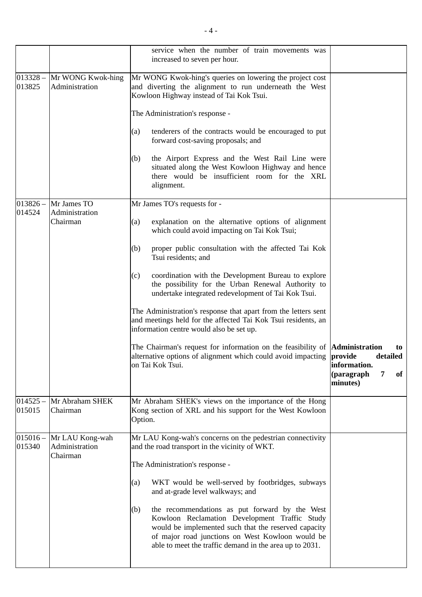|                      |                                               | service when the number of train movements was<br>increased to seven per hour.                                                                                                                                                                                                |                                                                     |
|----------------------|-----------------------------------------------|-------------------------------------------------------------------------------------------------------------------------------------------------------------------------------------------------------------------------------------------------------------------------------|---------------------------------------------------------------------|
| $013328 -$<br>013825 | Mr WONG Kwok-hing<br>Administration           | Mr WONG Kwok-hing's queries on lowering the project cost<br>and diverting the alignment to run underneath the West<br>Kowloon Highway instead of Tai Kok Tsui.                                                                                                                |                                                                     |
|                      |                                               | The Administration's response -                                                                                                                                                                                                                                               |                                                                     |
|                      |                                               | (a)<br>tenderers of the contracts would be encouraged to put<br>forward cost-saving proposals; and                                                                                                                                                                            |                                                                     |
|                      |                                               | the Airport Express and the West Rail Line were<br>(b)<br>situated along the West Kowloon Highway and hence<br>there would be insufficient room for the XRL<br>alignment.                                                                                                     |                                                                     |
| $013826 -$           | Mr James TO                                   | Mr James TO's requests for -                                                                                                                                                                                                                                                  |                                                                     |
| 014524               | Administration<br>Chairman                    | explanation on the alternative options of alignment<br>(a)<br>which could avoid impacting on Tai Kok Tsui;                                                                                                                                                                    |                                                                     |
|                      |                                               | (b)<br>proper public consultation with the affected Tai Kok<br>Tsui residents; and                                                                                                                                                                                            |                                                                     |
|                      |                                               | coordination with the Development Bureau to explore<br>(c)<br>the possibility for the Urban Renewal Authority to<br>undertake integrated redevelopment of Tai Kok Tsui.                                                                                                       |                                                                     |
|                      |                                               | The Administration's response that apart from the letters sent<br>and meetings held for the affected Tai Kok Tsui residents, an<br>information centre would also be set up.                                                                                                   |                                                                     |
|                      |                                               | The Chairman's request for information on the feasibility of <b>Administration</b><br>alternative options of alignment which could avoid impacting <b>provide</b><br>on Tai Kok Tsui.                                                                                         | to<br>detailed<br>information.<br>7<br>(paragraph<br>of<br>minutes) |
| $014525 -$<br>015015 | Mr Abraham SHEK<br>Chairman                   | Mr Abraham SHEK's views on the importance of the Hong<br>Kong section of XRL and his support for the West Kowloon<br>Option.                                                                                                                                                  |                                                                     |
| $015016 -$<br>015340 | Mr LAU Kong-wah<br>Administration<br>Chairman | Mr LAU Kong-wah's concerns on the pedestrian connectivity<br>and the road transport in the vicinity of WKT.                                                                                                                                                                   |                                                                     |
|                      |                                               | The Administration's response -                                                                                                                                                                                                                                               |                                                                     |
|                      |                                               | WKT would be well-served by footbridges, subways<br>(a)<br>and at-grade level walkways; and                                                                                                                                                                                   |                                                                     |
|                      |                                               | the recommendations as put forward by the West<br>(b)<br>Kowloon Reclamation Development Traffic Study<br>would be implemented such that the reserved capacity<br>of major road junctions on West Kowloon would be<br>able to meet the traffic demand in the area up to 2031. |                                                                     |
|                      |                                               |                                                                                                                                                                                                                                                                               |                                                                     |